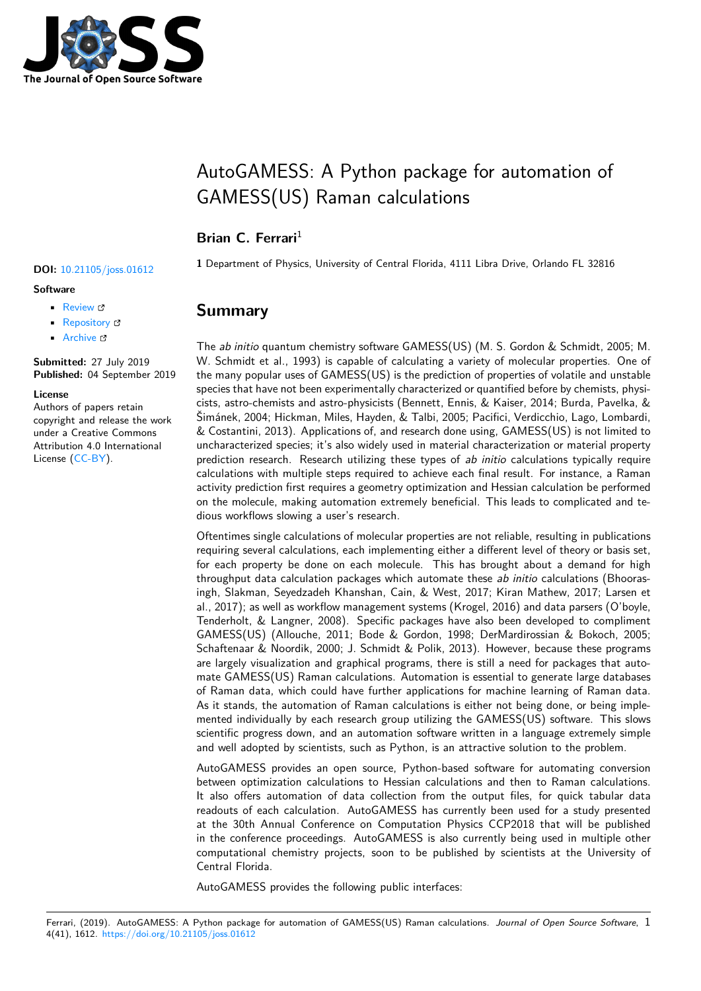

# AutoGAMESS: A Python package for automation of GAMESS(US) Raman calculations

#### Brian C. Ferrari<sup>1</sup>

#### **Software**

- Review C
- [Repository](https://doi.org/10.21105/joss.01612) &
- Archive

**Subm[itted:](https://github.com/openjournals/joss-reviews/issues/1612)** 27 July 2019 **Published:** [04 Se](https://github.com/Cavenfish/autogamess)ptember 2019

#### **Licen[se](https://doi.org/10.5281/zenodo.3385236)**

Authors of papers retain copyright and release the work under a Creative Commons Attribution 4.0 International License (CC-BY).

**<sup>1</sup>** Department of Physics, University of Central Florida, 4111 Libra Drive, Orlando FL 32816 **DOI:** 10.21105/joss.01612

#### **Summary**

The *ab initio* quantum chemistry software GAMESS(US) (M. S. Gordon & Schmidt, 2005; M. W. Schmidt et al., 1993) is capable of calculating a variety of molecular properties. One of the many popular uses of GAMESS(US) is the prediction of properties of volatile and unstable species that have not been experimentally characterized or quantified before by chemists, physicists, astro-chemists and astro-physicists (Bennett, Ennis, & Kaiser, 2014; Burda, Pavelka, & Šimánek, 2004; Hickman, Miles, Hayden, & Talbi, 2005; Pacifici, Verdicchio, Lago, Lombardi, & Costantini, 2013). Applications of, and research done using, GAMESS(US) is not limited to uncharacterized species; it's also widely used in material characterization or material property prediction research. Research utilizing these types of *ab initio* calculations typically require calculations with multiple steps required to achieve each final result. For instance, a Raman activity prediction first requires a geometry optimization and Hessian calculation be performed on the molecule, making automation extremely beneficial. This leads to complicated and tedious workflows slowing a user's research.

Oftentimes single calculations of molecular properties are not reliable, resulting in publications requiring several calculations, each implementing either a different level of theory or basis set, for each property be done on each molecule. This has brought about a demand for high throughput data calculation packages which automate these *ab initio* calculations (Bhoorasingh, Slakman, Seyedzadeh Khanshan, Cain, & West, 2017; Kiran Mathew, 2017; Larsen et al., 2017); as well as workflow management systems (Krogel, 2016) and data parsers (O'boyle, Tenderholt, & Langner, 2008). Specific packages have also been developed to compliment GAMESS(US) (Allouche, 2011; Bode & Gordon, 1998; DerMardirossian & Bokoch, 2005; Schaftenaar & Noordik, 2000; J. Schmidt & Polik, 2013). However, because these programs are largely visualization and graphical programs, there is still a need for packages that automate GAMESS(US) Raman calculations. Automation is essential to generate large databases of Raman data, which could have further applications for machine learning of Raman data. As it stands, the automation of Raman calculations is either not being done, or being implemented individually by each research group utilizing the GAMESS(US) software. This slows scientific progress down, and an automation software written in a language extremely simple and well adopted by scientists, such as Python, is an attractive solution to the problem.

AutoGAMESS provides an open source, Python-based software for automating conversion between optimization calculations to Hessian calculations and then to Raman calculations. It also offers automation of data collection from the output files, for quick tabular data readouts of each calculation. AutoGAMESS has currently been used for a study presented at the 30th Annual Conference on Computation Physics CCP2018 that will be published in the conference proceedings. AutoGAMESS is also currently being used in multiple other computational chemistry projects, soon to be published by scientists at the University of Central Florida.

AutoGAMESS provides the following public interfaces: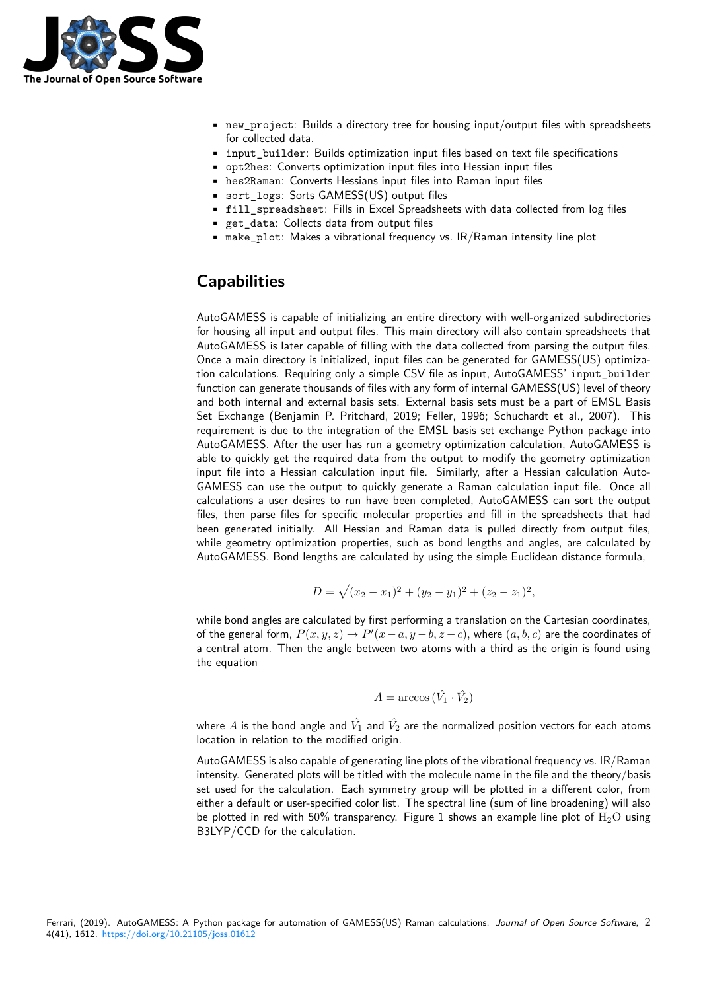

- new project: Builds a directory tree for housing input/output files with spreadsheets for collected data.
- input builder: Builds optimization input files based on text file specifications
- opt2hes: Converts optimization input files into Hessian input files
- hes2Raman: Converts Hessians input files into Raman input files
- sort\_logs: Sorts GAMESS(US) output files
- fill\_spreadsheet: Fills in Excel Spreadsheets with data collected from log files
- get\_data: Collects data from output files
- make\_plot: Makes a vibrational frequency vs. IR/Raman intensity line plot

#### **Capabilities**

AutoGAMESS is capable of initializing an entire directory with well-organized subdirectories for housing all input and output files. This main directory will also contain spreadsheets that AutoGAMESS is later capable of filling with the data collected from parsing the output files. Once a main directory is initialized, input files can be generated for GAMESS(US) optimization calculations. Requiring only a simple CSV file as input, AutoGAMESS' input\_builder function can generate thousands of files with any form of internal GAMESS(US) level of theory and both internal and external basis sets. External basis sets must be a part of EMSL Basis Set Exchange (Benjamin P. Pritchard, 2019; Feller, 1996; Schuchardt et al., 2007). This requirement is due to the integration of the EMSL basis set exchange Python package into AutoGAMESS. After the user has run a geometry optimization calculation, AutoGAMESS is able to quickly get the required data from the output to modify the geometry optimization input file into a Hessian calculation input file. Similarly, after a Hessian calculation Auto-GAMESS can use the output to quickly generate a Raman calculation input file. Once all calculations a user desires to run have been completed, AutoGAMESS can sort the output files, then parse files for specific molecular properties and fill in the spreadsheets that had been generated initially. All Hessian and Raman data is pulled directly from output files, while geometry optimization properties, such as bond lengths and angles, are calculated by AutoGAMESS. Bond lengths are calculated by using the simple Euclidean distance formula,

 $D = \sqrt{(x_2 - x_1)^2 + (y_2 - y_1)^2 + (z_2 - z_1)^2},$ 

while bond angles are calculated by first performing a translation on the Cartesian coordinates, of the general form,  $P(x, y, z) \rightarrow P'(x - a, y - b, z - c)$ , where  $(a, b, c)$  are the coordinates of a central atom. Then the angle between two atoms with a third as the origin is found using the equation

$$
A = \arccos(\hat{V}_1 \cdot \hat{V}_2)
$$

where  $A$  is the bond angle and  $\hat{V_1}$  and  $\hat{V_2}$  are the normalized position vectors for each atoms location in relation to the modified origin.

AutoGAMESS is also capable of generating line plots of the vibrational frequency vs. IR/Raman intensity. Generated plots will be titled with the molecule name in the file and the theory/basis set used for the calculation. Each symmetry group will be plotted in a different color, from either a default or user-specified color list. The spectral line (sum of line broadening) will also be plotted in red with 50% transparency. Figure 1 shows an example line plot of  $\rm H_{2}O$  using B3LYP/CCD for the calculation.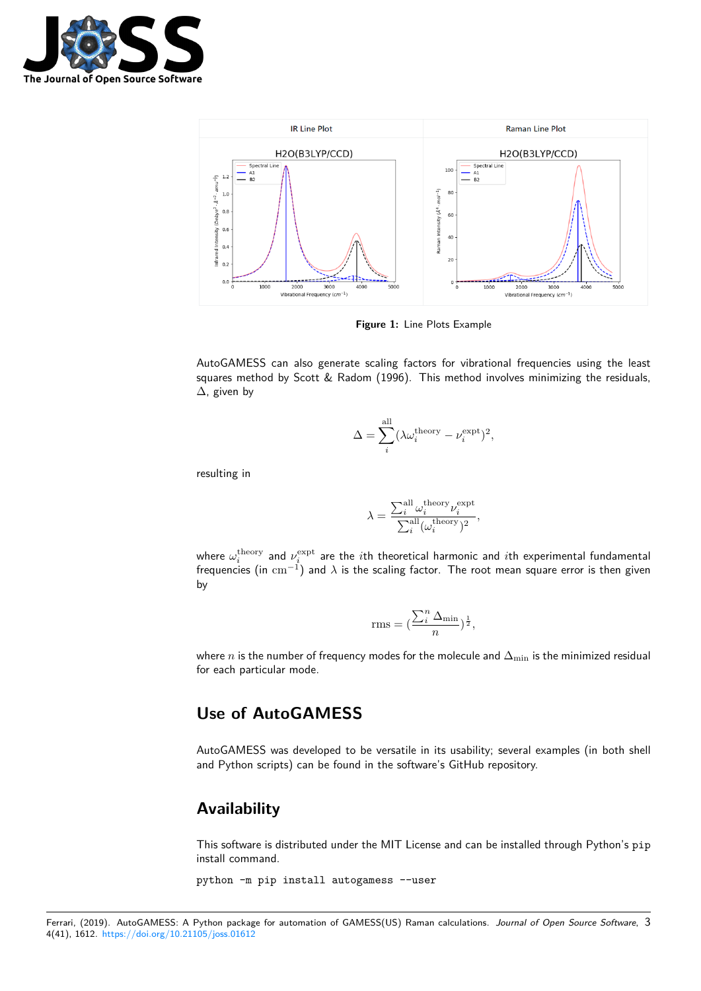



**Figure 1:** Line Plots Example

AutoGAMESS can also generate scaling factors for vibrational frequencies using the least squares method by Scott & Radom (1996). This method involves minimizing the residuals, ∆, given by

$$
\Delta = \sum_{i}^{\text{all}} (\lambda \omega_i^{\text{theory}} - \nu_i^{\text{expt}})^2,
$$

resulting in

$$
\lambda = \frac{\sum_i^{\text{all}} \omega_i^{\text{theory}} \nu_i^{\text{expt}}}{\sum_i^{\text{all}} (\omega_i^{\text{theory}})^2},
$$

where  $\omega_i^{\rm theory}$  and  $\nu_i^{\rm expt}$  are the  $i$ th theoretical harmonic and  $i$ th experimental fundamental frequencies (in cm*−*<sup>1</sup> ) and *λ* is the scaling factor. The root mean square error is then given by

$$
\text{rms} = \left(\frac{\sum_{i}^{n} \Delta_{\min}}{n}\right)^{\frac{1}{2}},
$$

where *n* is the number of frequency modes for the molecule and  $\Delta_{\min}$  is the minimized residual for each particular mode.

#### **Use of AutoGAMESS**

AutoGAMESS was developed to be versatile in its usability; several examples (in both shell and Python scripts) can be found in the software's GitHub repository.

#### **Availability**

This software is distributed under the MIT License and can be installed through Python's pip install command.

python -m pip install autogamess --user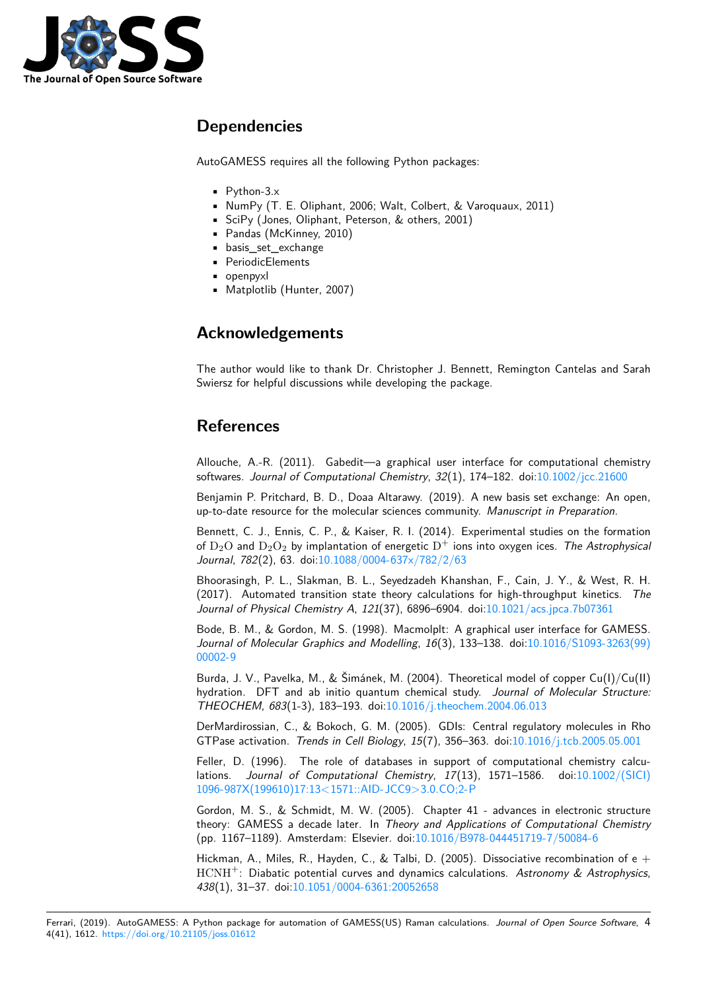

### **Dependencies**

AutoGAMESS requires all the following Python packages:

- Python-3.x
- NumPy (T. E. Oliphant, 2006; Walt, Colbert, & Varoquaux, 2011)
- SciPy (Jones, Oliphant, Peterson, & others, 2001)
- Pandas (McKinney, 2010)
- basis\_set\_exchange
- PeriodicElements
- openpyxl
- Matplotlib (Hunter, 2007)

## **Acknowledgements**

The author would like to thank Dr. Christopher J. Bennett, Remington Cantelas and Sarah Swiersz for helpful discussions while developing the package.

## **References**

Allouche, A.-R. (2011). Gabedit—a graphical user interface for computational chemistry softwares. *Journal of Computational Chemistry*, *32*(1), 174–182. doi:10.1002/jcc.21600

Benjamin P. Pritchard, B. D., Doaa Altarawy. (2019). A new basis set exchange: An open, up-to-date resource for the molecular sciences community. *Manuscript in Preparation*.

Bennett, C. J., Ennis, C. P., & Kaiser, R. I. (2014). Experimental s[tudies on the forma](https://doi.org/10.1002/jcc.21600)tion of  $D_2O$  and  $D_2O_2$  by implantation of energetic  $D^+$  ions into oxygen ices. *The Astrophysical Journal*, *782*(2), 63. doi:10.1088/0004-637x/782/2/63

Bhoorasingh, P. L., Slakman, B. L., Seyedzadeh Khanshan, F., Cain, J. Y., & West, R. H. (2017). Automated transition state theory calculations for high-throughput kinetics. *The Journal of Physical Chemistry A*, *121*[\(37\), 6896–6904.](https://doi.org/10.1088/0004-637x/782/2/63) doi:10.1021/acs.jpca.7b07361

Bode, B. M., & Gordon, M. S. (1998). Macmolplt: A graphical user interface for GAMESS. *Journal of Molecular Graphics and Modelling*, *16*(3), 133–138. doi:10.1016/S1093-3263(99) 00002-9

Burda, J. V., Pavelka, M., & Šimánek, M. (2004). Theore[tical model of copper Cu\(I\)](https://doi.org/10.1021/acs.jpca.7b07361)/Cu(II) hydration. DFT and ab initio quantum chemical study. *Journa[l of Molecular Structure:](https://doi.org/10.1016/S1093-3263(99)00002-9) [THEOCH](https://doi.org/10.1016/S1093-3263(99)00002-9)EM*, *683*(1-3), 183–193. doi:10.1016/j.theochem.2004.06.013

DerMardirossian, C., & Bokoch, G. M. (2005). GDIs: Central regulatory molecules in Rho GTPase activation. *Trends in Cell Biology*, *15*(7), 356–363. doi:10.1016/j.tcb.2005.05.001

Feller, D. (1996). The role of dat[abases in support of computatio](https://doi.org/10.1016/j.theochem.2004.06.013)nal chemistry calculations. *Journal of Computational Chemistry*, *17*(13), 1571–1586. doi:10.1002/(SICI) 1096-987X(199610)17:13<1571::AID-JCC9>3.0.CO;2-P

Gordon, M. S., & Schmidt, M. W. (2005). Chapter 41 - adv[ances in electronic structur](https://doi.org/10.1016/j.tcb.2005.05.001)e theory: GAMESS a decade later. In *Theory and Applications of Computati[onal Chemistry](https://doi.org/10.1002/(SICI)1096-987X(199610)17:13%3C1571::AID-JCC9%3E3.0.CO;2-P)* [\(pp. 1167–1189\). Amsterdam: Elsevier. doi:10.1016/B97](https://doi.org/10.1002/(SICI)1096-987X(199610)17:13%3C1571::AID-JCC9%3E3.0.CO;2-P)8-044451719-7/50084-6

Hickman, A., Miles, R., Hayden, C., & Talbi, D. (2005). Dissociative recombination of  $e +$ HCNH<sup>+</sup>: Diabatic potential curves and dynamics calculations. *Astronomy & Astrophysics*, *438*(1), 31–37. doi:10.1051/0004-6361:2005[2658](https://doi.org/10.1016/B978-044451719-7/50084-6)